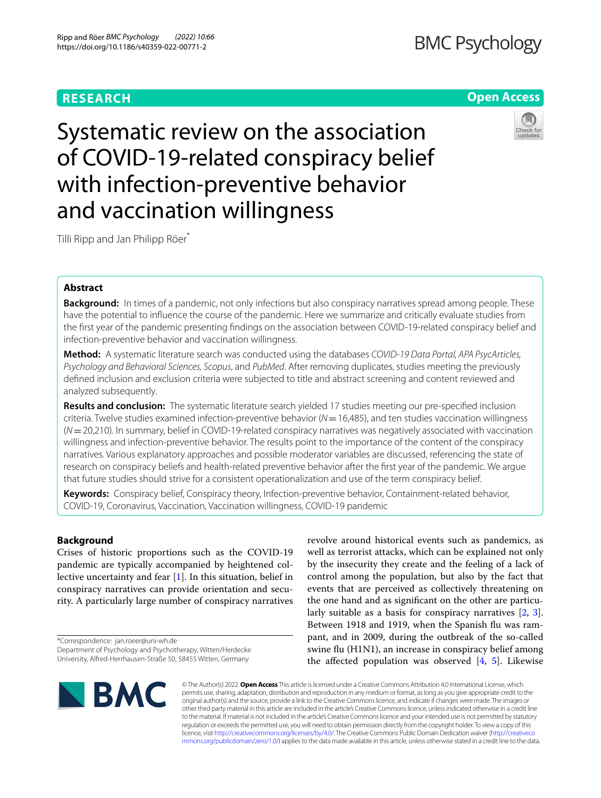# **RESEARCH**

# **BMC Psychology**

# **Open Access**



Systematic review on the association of COVID-19-related conspiracy belief with infection-preventive behavior and vaccination willingness

Tilli Ripp and Jan Philipp Röer\*

# **Abstract**

**Background:** In times of a pandemic, not only infections but also conspiracy narratives spread among people. These have the potential to infuence the course of the pandemic. Here we summarize and critically evaluate studies from the frst year of the pandemic presenting fndings on the association between COVID-19-related conspiracy belief and infection-preventive behavior and vaccination willingness.

**Method:** A systematic literature search was conducted using the databases *COVID-19 Data Portal, APA PsycArticles, Psychology and Behavioral Sciences, Scopus*, and *PubMed*. After removing duplicates, studies meeting the previously defned inclusion and exclusion criteria were subjected to title and abstract screening and content reviewed and analyzed subsequently.

**Results and conclusion:** The systematic literature search yielded 17 studies meeting our pre-specifed inclusion criteria. Twelve studies examined infection-preventive behavior (*N*=16,485), and ten studies vaccination willingness (*N*=20,210). In summary, belief in COVID-19-related conspiracy narratives was negatively associated with vaccination willingness and infection-preventive behavior. The results point to the importance of the content of the conspiracy narratives. Various explanatory approaches and possible moderator variables are discussed, referencing the state of research on conspiracy beliefs and health-related preventive behavior after the frst year of the pandemic. We argue that future studies should strive for a consistent operationalization and use of the term conspiracy belief.

**Keywords:** Conspiracy belief, Conspiracy theory, Infection-preventive behavior, Containment-related behavior, COVID-19, Coronavirus, Vaccination, Vaccination willingness, COVID-19 pandemic

# **Background**

Crises of historic proportions such as the COVID-19 pandemic are typically accompanied by heightened collective uncertainty and fear [[1\]](#page-12-0). In this situation, belief in conspiracy narratives can provide orientation and security. A particularly large number of conspiracy narratives

\*Correspondence: jan.roeer@uni-wh.de Department of Psychology and Psychotherapy, Witten/Herdecke revolve around historical events such as pandemics, as well as terrorist attacks, which can be explained not only by the insecurity they create and the feeling of a lack of control among the population, but also by the fact that events that are perceived as collectively threatening on the one hand and as signifcant on the other are particularly suitable as a basis for conspiracy narratives [\[2](#page-12-1), [3](#page-12-2)]. Between 1918 and 1919, when the Spanish flu was rampant, and in 2009, during the outbreak of the so-called swine flu (H1N1), an increase in conspiracy belief among the affected population was observed  $[4, 5]$  $[4, 5]$  $[4, 5]$  $[4, 5]$ . Likewise



© The Author(s) 2022. **Open Access** This article is licensed under a Creative Commons Attribution 4.0 International License, which permits use, sharing, adaptation, distribution and reproduction in any medium or format, as long as you give appropriate credit to the original author(s) and the source, provide a link to the Creative Commons licence, and indicate if changes were made. The images or other third party material in this article are included in the article's Creative Commons licence, unless indicated otherwise in a credit line to the material. If material is not included in the article's Creative Commons licence and your intended use is not permitted by statutory regulation or exceeds the permitted use, you will need to obtain permission directly from the copyright holder. To view a copy of this licence, visit [http://creativecommons.org/licenses/by/4.0/.](http://creativecommons.org/licenses/by/4.0/) The Creative Commons Public Domain Dedication waiver ([http://creativeco](http://creativecommons.org/publicdomain/zero/1.0/) [mmons.org/publicdomain/zero/1.0/](http://creativecommons.org/publicdomain/zero/1.0/)) applies to the data made available in this article, unless otherwise stated in a credit line to the data.

University, Alfred-Herrhausen-Straße 50, 58455 Witten, Germany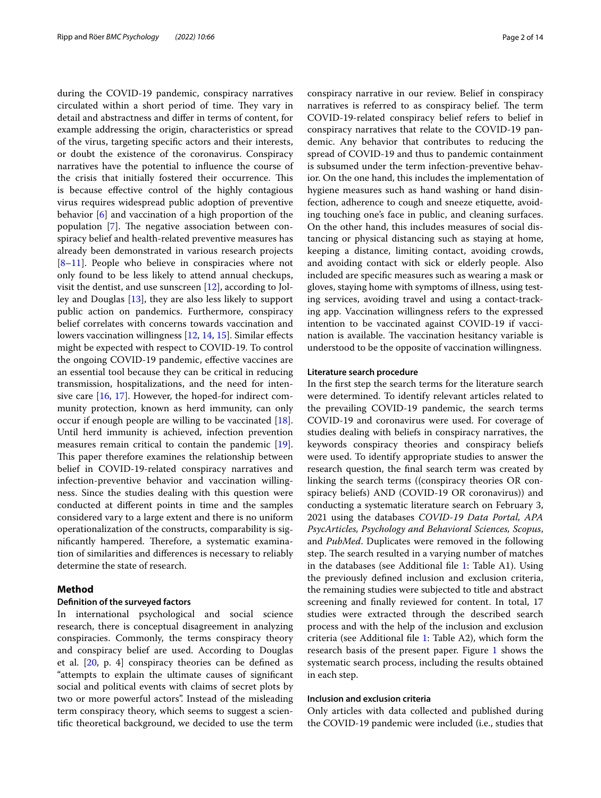during the COVID-19 pandemic, conspiracy narratives circulated within a short period of time. They vary in detail and abstractness and difer in terms of content, for example addressing the origin, characteristics or spread of the virus, targeting specifc actors and their interests, or doubt the existence of the coronavirus. Conspiracy narratives have the potential to infuence the course of the crisis that initially fostered their occurrence. This is because efective control of the highly contagious virus requires widespread public adoption of preventive behavior [[6](#page-12-5)] and vaccination of a high proportion of the population  $[7]$  $[7]$ . The negative association between conspiracy belief and health-related preventive measures has already been demonstrated in various research projects [[8–](#page-13-0)[11\]](#page-13-1). People who believe in conspiracies where not only found to be less likely to attend annual checkups, visit the dentist, and use sunscreen [\[12\]](#page-13-2), according to Jolley and Douglas [[13\]](#page-13-3), they are also less likely to support public action on pandemics. Furthermore, conspiracy belief correlates with concerns towards vaccination and lowers vaccination willingness [[12,](#page-13-2) [14](#page-13-4), [15\]](#page-13-5). Similar efects might be expected with respect to COVID-19. To control the ongoing COVID-19 pandemic, efective vaccines are an essential tool because they can be critical in reducing transmission, hospitalizations, and the need for intensive care [[16](#page-13-6), [17\]](#page-13-7). However, the hoped-for indirect community protection, known as herd immunity, can only occur if enough people are willing to be vaccinated [\[18](#page-13-8)]. Until herd immunity is achieved, infection prevention measures remain critical to contain the pandemic [\[19](#page-13-9)]. This paper therefore examines the relationship between belief in COVID-19-related conspiracy narratives and infection-preventive behavior and vaccination willingness. Since the studies dealing with this question were conducted at diferent points in time and the samples considered vary to a large extent and there is no uniform operationalization of the constructs, comparability is significantly hampered. Therefore, a systematic examination of similarities and diferences is necessary to reliably determine the state of research.

# **Method**

## <span id="page-1-0"></span>**Defnition of the surveyed factors**

In international psychological and social science research, there is conceptual disagreement in analyzing conspiracies. Commonly, the terms conspiracy theory and conspiracy belief are used. According to Douglas et al.  $[20, p. 4]$  $[20, p. 4]$  conspiracy theories can be defined as "attempts to explain the ultimate causes of signifcant social and political events with claims of secret plots by two or more powerful actors". Instead of the misleading term conspiracy theory, which seems to suggest a scientifc theoretical background, we decided to use the term conspiracy narrative in our review. Belief in conspiracy narratives is referred to as conspiracy belief. The term COVID-19-related conspiracy belief refers to belief in conspiracy narratives that relate to the COVID-19 pandemic. Any behavior that contributes to reducing the spread of COVID-19 and thus to pandemic containment is subsumed under the term infection-preventive behavior. On the one hand, this includes the implementation of hygiene measures such as hand washing or hand disinfection, adherence to cough and sneeze etiquette, avoiding touching one's face in public, and cleaning surfaces. On the other hand, this includes measures of social distancing or physical distancing such as staying at home, keeping a distance, limiting contact, avoiding crowds, and avoiding contact with sick or elderly people. Also included are specifc measures such as wearing a mask or gloves, staying home with symptoms of illness, using testing services, avoiding travel and using a contact-tracking app. Vaccination willingness refers to the expressed intention to be vaccinated against COVID-19 if vaccination is available. The vaccination hesitancy variable is understood to be the opposite of vaccination willingness.

#### **Literature search procedure**

In the frst step the search terms for the literature search were determined. To identify relevant articles related to the prevailing COVID-19 pandemic, the search terms COVID-19 and coronavirus were used. For coverage of studies dealing with beliefs in conspiracy narratives, the keywords conspiracy theories and conspiracy beliefs were used. To identify appropriate studies to answer the research question, the fnal search term was created by linking the search terms ((conspiracy theories OR conspiracy beliefs) AND (COVID-19 OR coronavirus)) and conducting a systematic literature search on February 3, 2021 using the databases *COVID-19 Data Portal, APA PsycArticles, Psychology and Behavioral Sciences, Scopus*, and *PubMed*. Duplicates were removed in the following step. The search resulted in a varying number of matches in the databases (see Additional fle [1:](#page-12-7) Table A1). Using the previously defned inclusion and exclusion criteria, the remaining studies were subjected to title and abstract screening and fnally reviewed for content. In total, 17 studies were extracted through the described search process and with the help of the inclusion and exclusion criteria (see Additional fle [1:](#page-12-7) Table A2), which form the research basis of the present paper. Figure [1](#page-2-0) shows the systematic search process, including the results obtained in each step.

#### **Inclusion and exclusion criteria**

Only articles with data collected and published during the COVID-19 pandemic were included (i.e., studies that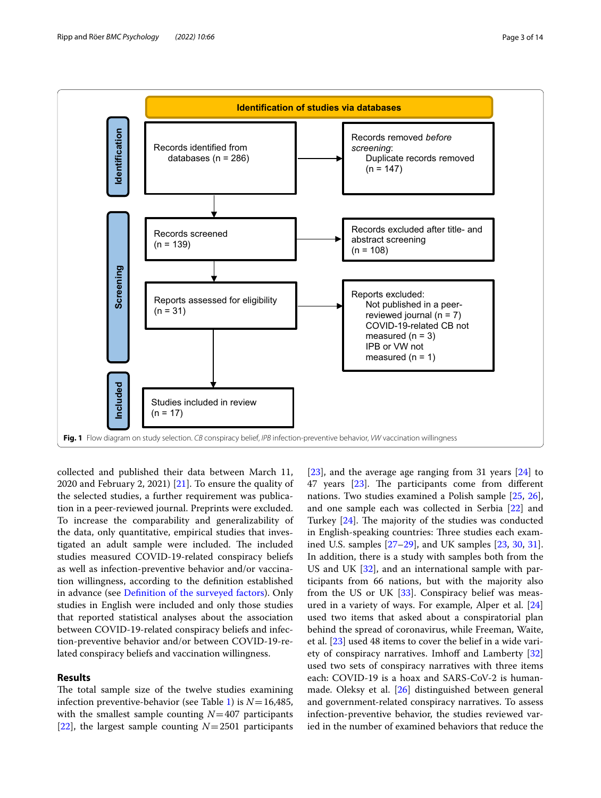

<span id="page-2-0"></span>collected and published their data between March 11, 2020 and February 2, 2021)  $[21]$  $[21]$ . To ensure the quality of the selected studies, a further requirement was publication in a peer-reviewed journal. Preprints were excluded. To increase the comparability and generalizability of the data, only quantitative, empirical studies that investigated an adult sample were included. The included studies measured COVID-19-related conspiracy beliefs as well as infection-preventive behavior and/or vaccination willingness, according to the defnition established in advance (see [Defnition of the surveyed factors\)](#page-1-0). Only studies in English were included and only those studies that reported statistical analyses about the association between COVID-19-related conspiracy beliefs and infection-preventive behavior and/or between COVID-19-related conspiracy beliefs and vaccination willingness.

## **Results**

The total sample size of the twelve studies examining infection preventive-behavior (see Table [1](#page-3-0)) is  $N=16,485$ , with the smallest sample counting  $N=407$  participants [[22\]](#page-13-12), the largest sample counting  $N=2501$  participants [[23\]](#page-13-13), and the average age ranging from 31 years [[24](#page-13-14)] to 47 years [\[23\]](#page-13-13). The participants come from different nations. Two studies examined a Polish sample [[25,](#page-13-15) [26](#page-13-16)], and one sample each was collected in Serbia [\[22\]](#page-13-12) and Turkey  $[24]$ . The majority of the studies was conducted in English-speaking countries: Three studies each examined U.S. samples [\[27](#page-13-17)[–29\]](#page-13-18), and UK samples [[23,](#page-13-13) [30,](#page-13-19) [31](#page-13-20)]. In addition, there is a study with samples both from the US and UK [\[32\]](#page-13-21), and an international sample with participants from 66 nations, but with the majority also from the US or UK [\[33](#page-13-22)]. Conspiracy belief was measured in a variety of ways. For example, Alper et al. [[24](#page-13-14)] used two items that asked about a conspiratorial plan behind the spread of coronavirus, while Freeman, Waite, et al. [[23\]](#page-13-13) used 48 items to cover the belief in a wide vari-ety of conspiracy narratives. Imhoff and Lamberty [[32](#page-13-21)] used two sets of conspiracy narratives with three items each: COVID-19 is a hoax and SARS-CoV-2 is humanmade. Oleksy et al. [\[26\]](#page-13-16) distinguished between general and government-related conspiracy narratives. To assess infection-preventive behavior, the studies reviewed varied in the number of examined behaviors that reduce the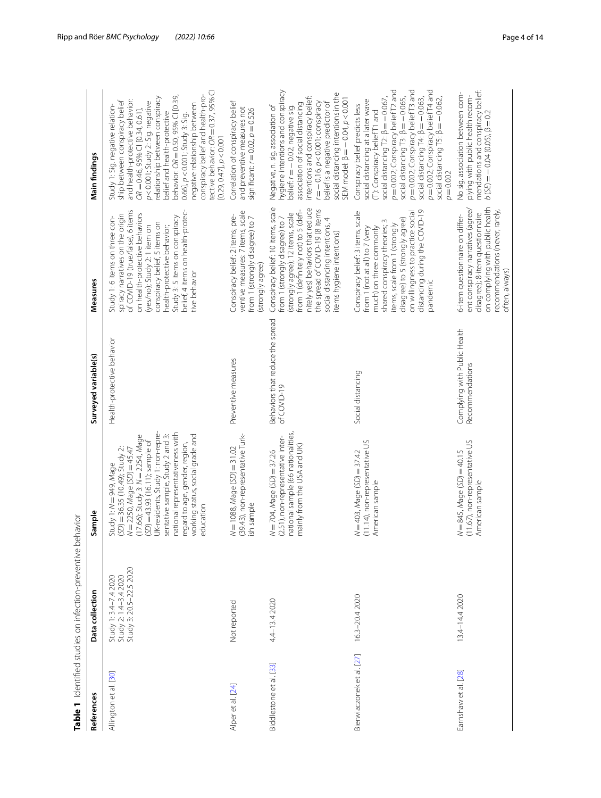| References                | Table 1 Identified studies on infection-preventive behavior<br>Data collection | Sample                                                                                                                                                                                                                                                                                                                                                                       | Surveyed variable(s)                            | Measures                                                                                                                                                                                                                                                                                                                          | Main findings                                                                                                                                                                                                                                                                                                                                                                                                                                                                    |
|---------------------------|--------------------------------------------------------------------------------|------------------------------------------------------------------------------------------------------------------------------------------------------------------------------------------------------------------------------------------------------------------------------------------------------------------------------------------------------------------------------|-------------------------------------------------|-----------------------------------------------------------------------------------------------------------------------------------------------------------------------------------------------------------------------------------------------------------------------------------------------------------------------------------|----------------------------------------------------------------------------------------------------------------------------------------------------------------------------------------------------------------------------------------------------------------------------------------------------------------------------------------------------------------------------------------------------------------------------------------------------------------------------------|
| Allington et al. [30]     | Study 3: 20.5-22.5 2020<br>Study 1: 3.4–7.4 2020<br>Study 2: 1.4–3.4 2020      | UK-residents, Study 1: non-repre-<br>national representativeness with<br>$(17.66)$ ; Study 3: $N = 2254$ , Mage<br>sentative sample, Study 2 and 3:<br>working status, social grade and<br>$(5D) = 43.93$ (16.11); sample of<br>regard to age, gender, region,<br>$(5D) = 36.35 (10.49)$ ; Study 2:<br>$N = 2250$ , Mage (SD) = 45.47<br>Study 1: N = 949, Mage<br>education | Health-protective behavior                      | of COVID-19 (true/false), 6 items<br>belief, 4 items on health-protec-<br>on health-protective behaviors<br>spiracy narratives on the origin<br>Study 3: 5 items on conspiracy<br>Study 1: 6 items on three con-<br>conspiracy belief, 5 items on<br>(yes/no); Study 2: 1 item on<br>health-protective behavior;<br>tive behavior | tective behavior: OR = 0.37, 95% CI<br>conspiracy belief and health-pro-<br>behavior: OR = 0.50, 95% CI [0.39,<br>relationship between conspiracy<br>and health-protective behavior:<br>ship between conspiracy belief<br>p<0.001; Study 2: Sig. negative<br>negative relationship between<br>Study 1: Sig. negative relation-<br>$OR = 0.46, 95\% \text{ CI}$ [0.34, 0.61],<br>belief and health-protective<br>$0.66$ ], $p < 0.001$ ; Study 3: Sig.<br>[0.29, 0.47], p < 0.001 |
| Alper et al. [24]         | Not reported                                                                   | (39.43), non-representative Turk-<br>N=1088, Mage (SD) = 31.02<br>ish sample                                                                                                                                                                                                                                                                                                 | Preventive measures                             | ventive measures: 7 items, scale<br>Conspiracy belief: 2 items; pre-<br>from 1 (strongly disagree) to 7<br>(strongly agree)                                                                                                                                                                                                       | Correlation of conspiracy belief<br>and preventive measures not<br>significant: $r = 0.02$ , $p = 0.526$                                                                                                                                                                                                                                                                                                                                                                         |
| Biddlestone et al. [33]   | 4.4-13.4 2020                                                                  | national sample (66 nationalities,<br>(2.51), non-representative inter-<br>mainly from the USA and UK)<br>$N = 704$ , Mage (SD) = 37.26                                                                                                                                                                                                                                      | Behaviors that reduce the spread<br>of COVID-19 | Conspiracy belief: 10 items, scale<br>nitely yes) behaviors that reduce<br>the spread of COVID-19 (8 items<br>from 1 (definitely not) to 5 (defi-<br>(strongly agree); 12 items, scale<br>from 1 (strongly disagree) to 7<br>social distancing intentions, 4<br>items hygiene intentions)                                         | hygiene intentions and conspiracy<br>social distancing intentions in the<br>intentions and conspiracy belief:<br>SEM model: β = $-0.04$ , $p < 0.001$<br>$r = -0.16$ , $p < 0.001$ ; conspiracy<br>belief is a negative predictor of<br>association of social distancing<br>Negative, n. sig. association of<br>belief: r = - 0.02; negative sig.                                                                                                                                |
| Bierwiaczonek et al. [27] | 16.3-20.4 2020                                                                 | (11.14), non-representative US<br>$N = 403, Mage (SD) = 37.42$<br>American sample                                                                                                                                                                                                                                                                                            | Social distancing                               | distancing during the COVID-19<br>pandemic<br>Conspiracy belief: 3 items, scale<br>on willingness to practice social<br>disagree) to 5 (strongly agree)<br>shared conspiracy theories; 3<br>items, scale from 1 (strongly<br>much) on three commonly<br>from 1 (not at all) to 7 (very                                            | $p = 0.002$ ; Conspiracy belief T2 and<br>$p = 0.002$ ; Conspiracy belief T3 and<br>p=0.002; Conspiracy belief T4 and<br>social distancing $T2$ : $\beta = -0.067$ ,<br>social distancing $T3$ : $\beta = -0.065$ ,<br>social distancing $T4$ : $\beta = -0.063$ ,<br>social distancing T5: $\beta = -0.062$ ,<br>social distancing at a later wave<br>Conspiracy belief predicts less<br>(T): Conspiracy belief T1 and<br>$p = 0.002$                                           |
| Earnshaw et al. [28]      | 13.4-14.4 2020                                                                 | (11.67), non-representative US<br>$N = 845$ , Mage $(SD) = 40.15$<br>American sample                                                                                                                                                                                                                                                                                         | Complying with Public Health<br>Recommendations | on complying with public health<br>ent conspiracy narratives (agree/<br>recommendations (never, rarely,<br>disagree); 8-item questionnaire<br>6-item questionnaire on differ-<br>often, always)                                                                                                                                   | mendations and conspiracy belief:<br>No sig. association between com-<br>plying with public health recom-<br>$b(5E) = -0.04(0.05), \beta = 0.2$                                                                                                                                                                                                                                                                                                                                  |

<span id="page-3-0"></span>Table 1 Identified studies on infection-preventive behavior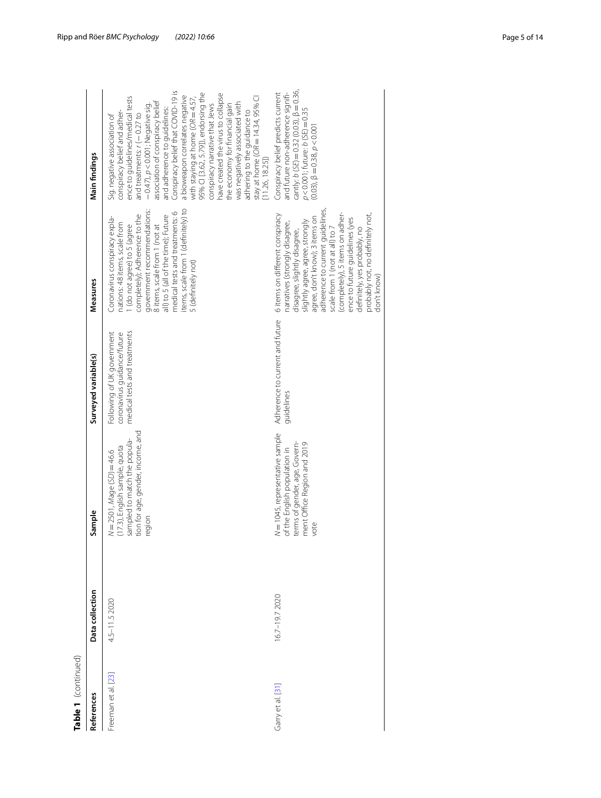| Table 1 (continued) |                 |                                                                                                                                               |                                                                                           |                                                                                                                                                                                                                                                                                                                                                                                                   |                                                                                                                                                                                                                                                                                                                                                                                                                                                                                                                                                                                                                                        |
|---------------------|-----------------|-----------------------------------------------------------------------------------------------------------------------------------------------|-------------------------------------------------------------------------------------------|---------------------------------------------------------------------------------------------------------------------------------------------------------------------------------------------------------------------------------------------------------------------------------------------------------------------------------------------------------------------------------------------------|----------------------------------------------------------------------------------------------------------------------------------------------------------------------------------------------------------------------------------------------------------------------------------------------------------------------------------------------------------------------------------------------------------------------------------------------------------------------------------------------------------------------------------------------------------------------------------------------------------------------------------------|
| References          | Data collection | Sample                                                                                                                                        | Surveyed variable(s)                                                                      | Measures                                                                                                                                                                                                                                                                                                                                                                                          | Main findings                                                                                                                                                                                                                                                                                                                                                                                                                                                                                                                                                                                                                          |
| Freeman et al. [23] | 4.5-11.5 2020   | tion for age, gender, income, and<br>sampled to match the popula-<br>(17.3), English sample, quota<br>$N = 2501$ , Mage (SD) = 46.6<br>region | Following of UK government<br>medical tests and treatments<br>coronavirus guidance/future | items, scale from 1 (definitely) to<br>government recommendations:<br>medical tests and treatments: 6<br>completely); Adherence to the<br>all) to 5 (all of the time); Future<br>Coronavirus conspiracy expla-<br>nations: 48 items, scale from<br>1 (do not agree) to 5 (agree<br>8 items, scale from 1 (not at<br>5 (definitely not)                                                            | Conspiracy belief that COVID-19 is<br>95% CI [3.62, 5.79]), endorsing the<br>have created the virus to collapse<br>a bioweapon correlates negative<br>ence to guidelines/medical tests<br>with staying at home (OR = 4.57,<br>stay at home $(OR = 14.34, 95\%$ Cl<br>association of conspiracy belief<br>was negatively associated with<br>conspiracy narrative that Jews<br>the economy for financial gain<br>$-0.47$ ), $p < 0.001$ ; Negative sig.<br>and adherence to guidelines:<br>conspiracy belief and adher-<br>adhering to the guidance to<br>and treatments: $r(-0.27$ to<br>Sig. negative association of<br>[11.26, 18.25] |
| Garry et al. [31]   | 16.7-19.7 2020  | N=1045, representative sample<br>terms of gender, age, Govern-<br>ment Office Region and 2019<br>of the English population in<br>vote         | Adherence to current and future<br>guidelines                                             | adherence to current guidelines<br>6 items on different conspiracy<br>(completely), 5 items on adher-<br>probably not, no definitely not,<br>agree, don't know); 3 items on<br>ence to future guidelines (yes<br>slightly agree, agree, strongly<br>narratives (strongly disagree,<br>definitely, yes probably, no<br>disagree, slightly disagree,<br>scale from 1 (not at all) to<br>don't know) | cantly: $b(SE) = 0.32(0.03)$ , $\beta = 0.36$ ,<br>Conspiracy belief predicts current<br>and future non-adherence signifi-<br>$p < 0.001$ ; future: $b(SE) = 0.35$<br>$(0.03)$ , $\beta = 0.38$ , $p < 0.001$                                                                                                                                                                                                                                                                                                                                                                                                                          |
|                     |                 |                                                                                                                                               |                                                                                           |                                                                                                                                                                                                                                                                                                                                                                                                   |                                                                                                                                                                                                                                                                                                                                                                                                                                                                                                                                                                                                                                        |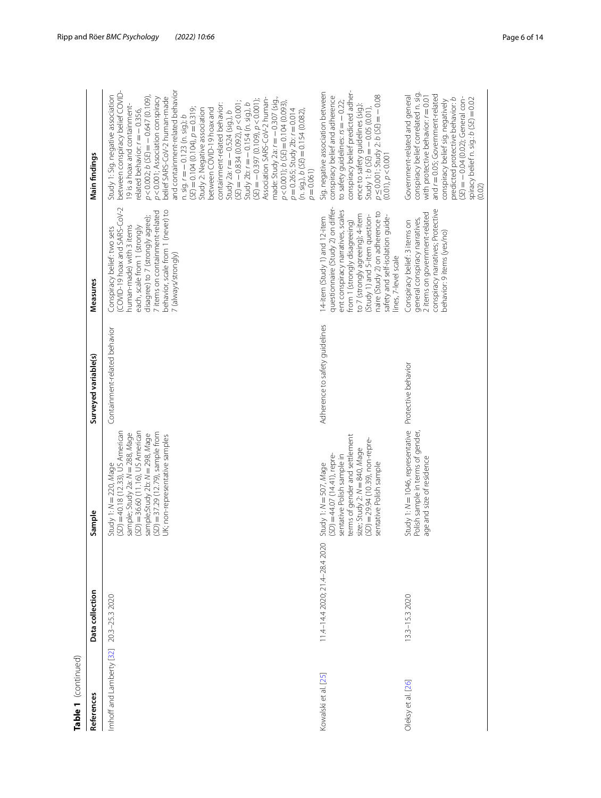| Table 1 (continued)      |                                |                                                                                                                                                                                                                                                  |                                |                                                                                                                                                                                                                                                                                                                |                                                                                                                                                                                                                                                                                                                                                                                                                                                                                                                                                                                                                                                                                                                                                                                                                                               |
|--------------------------|--------------------------------|--------------------------------------------------------------------------------------------------------------------------------------------------------------------------------------------------------------------------------------------------|--------------------------------|----------------------------------------------------------------------------------------------------------------------------------------------------------------------------------------------------------------------------------------------------------------------------------------------------------------|-----------------------------------------------------------------------------------------------------------------------------------------------------------------------------------------------------------------------------------------------------------------------------------------------------------------------------------------------------------------------------------------------------------------------------------------------------------------------------------------------------------------------------------------------------------------------------------------------------------------------------------------------------------------------------------------------------------------------------------------------------------------------------------------------------------------------------------------------|
| References               | Data collection                | Sample                                                                                                                                                                                                                                           | Surveyed variable(s)           | Measures                                                                                                                                                                                                                                                                                                       | Main findings                                                                                                                                                                                                                                                                                                                                                                                                                                                                                                                                                                                                                                                                                                                                                                                                                                 |
| Imhoff and Lamberty [32] | 20.3-25.3 2020                 | (SD) = 36.60 (11.16), US American<br>(SD) = 40.18 (12.33), US American<br>$(SD) = 37.29$ (12.79), sample from<br>sample; Study 2a: N= 288, Mage<br>sample;Study 2b: N = 298, Mage<br>UK; non-representative samples<br>Study 1: $N = 220$ , Mage | Containment-related behavior   | (COVID-19 hoax and SARS-CoV-2<br>behavior, scale from 1 (never) to<br>7 items on containment-related<br>disagree) to 7 (strongly agree);<br>human-made) with 3 items<br>each, scale from 1 (strongly<br>Conspiracy belief: two sets<br>7 (always/strongly)                                                     | and containment-related behavior<br>between conspiracy belief COVID-<br>Study 1: Sig. negative association<br>$p < 0.002$ ; b (SE) = $-0.647$ (0.109),<br>p<0.001; Association conspiracy<br>belief SARS-CoV-2 human-made<br>Association SARS-CoV-2 human-<br>made: Study 2a: $r = -0.307$ (sig.,<br>$(SE) = -0.397(0.109), p < 0.001$ ;<br>$(5E) = -0.834(0.092), p < 0.001;$<br>$p < 0.001$ ); $b (SE) = 0.104 (0.093)$<br>Study $2b: r = -0.154$ (n. sig.), b<br>containment-related behavior:<br>19 is a hoax and containment-<br>$(5E) = 0.104(0.104), p = 0.319;$<br>between COVID-19 hoax and<br>Study 2: Negative association<br>related behavior: $r = -0.356$ ,<br>$(n, sig), b(SE) = 0.154(0.082),$<br>$p = 0.265$ ; Study 2b: $r = 0.014$<br>Study 2a: $r = -0.524$ (sig.), b<br>n. sig. $r = -0.123$ (n. sig.); b<br>$p = 0.061$ |
| Kowalski et al. [25]     | 11.4-14.4 2020; 21.4-28.4 2020 | terms of gender and settlement<br>(SD) = 29.94 (10.39), non-repre-<br>size; Study 2: N = 840, Mage<br>$(5D) = 44.07 (14.41)$ , repre-<br>sentative Polish sample in<br>sentative Polish sample<br>Study 1: $N = 507$ , Mage                      | Adherence to safety guidelines | questionnaire (Study 2) on differ-<br>ent conspiracy narratives, scales<br>naire (Study 2) on adherence to<br>to 7 (strongly agreeing); 4-item<br>(Study 1) and 5-item question-<br>safety and self-isolation guide-<br>14-item (Study 1) and 12-item<br>from 1 (strongly disagreeing)<br>lines, 7-level scale | conspiracy belief predicted adher-<br>Sig. negative association between<br>$p \le 0.001$ ; Study 2: $b(5E) = -0.08$<br>conspiracy belief and adherence<br>to safety guidelines: $rs = -0.22$ ;<br>ence to safety guidelines (sig.):<br>Study 1: $b(5E) = -0.05(0.01)$ ,<br>$(0.01)$ , $p < 0.001$                                                                                                                                                                                                                                                                                                                                                                                                                                                                                                                                             |
| Oleksy et al. [26]       | 13.3-15.3 2020                 | Study 1: N = 1046, representative<br>Polish sample in terms of gender,<br>age and size of residence                                                                                                                                              | Protective behavior            | conspiracy narratives; Protective<br>2 items on government-related<br>general conspiracy narratives,<br>Conspiracy belief: 3 items on<br>behavior: 9 items (yes/no)                                                                                                                                            | conspiracy belief correlated n. sig.<br>and r = 0.05; Government-related<br>Government-related and general<br>with protective behavior: r = 0.01<br>$(5E) = -0.04$ (0.02); General con-<br>predicted protective behavior: b<br>spiracy belief n. sig.: b (SE) = 0.02<br>conspiracy belief sig. negatively<br>(0.02)                                                                                                                                                                                                                                                                                                                                                                                                                                                                                                                           |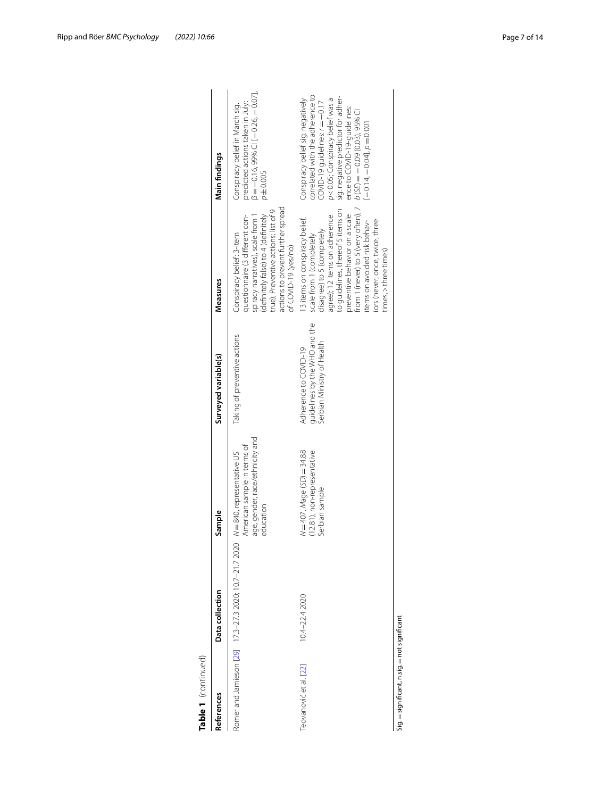| References                                             | Data collection   | Sample                                                                                                       | Surveyed variable(s)                                                                 | Measures                                                                                                                                                                                                                                                                                                                              | Main findings                                                                                                                                                                                                                                                                                                                     |
|--------------------------------------------------------|-------------------|--------------------------------------------------------------------------------------------------------------|--------------------------------------------------------------------------------------|---------------------------------------------------------------------------------------------------------------------------------------------------------------------------------------------------------------------------------------------------------------------------------------------------------------------------------------|-----------------------------------------------------------------------------------------------------------------------------------------------------------------------------------------------------------------------------------------------------------------------------------------------------------------------------------|
| Romer and Jamieson [29] 17.3-27.3 2020; 10.7-21.7 2020 |                   | age, gender, race/ethnicity and<br>American sample in terms of<br>$N = 840$ , representative US<br>education | Taking of preventive actions                                                         | actions to prevent further spread<br>true); Preventive actions: list of 9<br>spiracy narratives), scale from 1<br>questionnaire (3 different con-<br>definitely false) to 4 (definitely<br>Conspiracy belief: 3-item<br>of COVID-19 (yes/no)                                                                                          | $\beta = -0.16,99\%$ CI $-0.26, -0.7$ ]<br>predicted actions taken in July:<br>Conspiracy belief in March sig.<br>$p = 0.005$                                                                                                                                                                                                     |
| Teovanović et al. [22]                                 | $10.4 - 22.42020$ | $N = 407$ , Mage (SD) = 34.88<br>(12.81), non-representative<br>Serbian sample                               | guidelines by the WHO and the<br>Serbian Ministry of Health<br>Adherence to COVID-19 | from 1 (never) to 5 (very often), 7<br>to quidelines, thereof 5 items on<br>preventive behavior on a scale<br>agree); 12 items on adherence<br>13 items on conspiracy belief,<br>iors (never, once, twice, three<br>items on avoided risk behav-<br>disagree) to 5 (completely<br>scale from 1 (completely<br>$times,$ > three times) | correlated with the adherence to<br>sig. negative predictor for adher-<br>Conspiracy belief sig. negatively<br>p<0.05; Conspiracy belief was a<br>$\frac{1}{2}$ COVID-19 quidelines: $r = -0.17$<br>ence to COVID-19-guidelines:<br>$b$ (SE) = -0.09 (0.03), 95% CI<br>$\frac{1}{2} - 0.14$ , $\frac{1}{2} - 0.04$ ], $p = 0.001$ |

| フリコニンコ        |
|---------------|
| ā             |
|               |
| ਵ             |
| $\vdots$<br>a |
|               |
|               |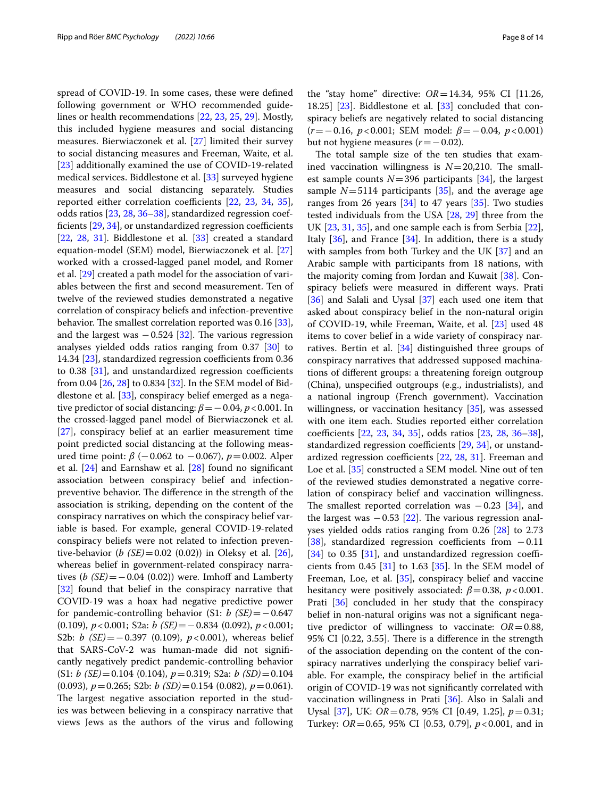spread of COVID-19. In some cases, these were defned following government or WHO recommended guidelines or health recommendations [\[22](#page-13-12), [23,](#page-13-13) [25,](#page-13-15) [29](#page-13-18)]. Mostly, this included hygiene measures and social distancing measures. Bierwiaczonek et al. [[27\]](#page-13-17) limited their survey to social distancing measures and Freeman, Waite, et al. [[23\]](#page-13-13) additionally examined the use of COVID-19-related medical services. Biddlestone et al. [\[33](#page-13-22)] surveyed hygiene measures and social distancing separately. Studies reported either correlation coefficients [[22,](#page-13-12) [23,](#page-13-13) [34](#page-13-24), [35](#page-13-25)], odds ratios [[23](#page-13-13), [28,](#page-13-23) [36](#page-13-26)[–38](#page-13-27)], standardized regression coefficients  $[29, 34]$  $[29, 34]$  $[29, 34]$  $[29, 34]$ , or unstandardized regression coefficients  $[22, 28, 31]$  $[22, 28, 31]$  $[22, 28, 31]$  $[22, 28, 31]$  $[22, 28, 31]$  $[22, 28, 31]$ . Biddlestone et al.  $[33]$  $[33]$  created a standard equation-model (SEM) model, Bierwiaczonek et al. [[27](#page-13-17)] worked with a crossed-lagged panel model, and Romer et al. [\[29](#page-13-18)] created a path model for the association of variables between the frst and second measurement. Ten of twelve of the reviewed studies demonstrated a negative correlation of conspiracy beliefs and infection-preventive behavior. The smallest correlation reported was  $0.16$  [\[33](#page-13-22)], and the largest was  $-0.524$  [[32\]](#page-13-21). The various regression analyses yielded odds ratios ranging from 0.37 [[30\]](#page-13-19) to 14.34  $[23]$  $[23]$ , standardized regression coefficients from 0.36 to  $0.38$  [[31\]](#page-13-20), and unstandardized regression coefficients from 0.04 [\[26](#page-13-16), [28\]](#page-13-23) to 0.834 [[32\]](#page-13-21). In the SEM model of Biddlestone et al. [\[33](#page-13-22)], conspiracy belief emerged as a negative predictor of social distancing:  $\beta = -0.04$ ,  $p < 0.001$ . In the crossed-lagged panel model of Bierwiaczonek et al. [[27\]](#page-13-17), conspiracy belief at an earlier measurement time point predicted social distancing at the following measured time point: *β* (−0.062 to −0.067), *p*=0.002. Alper et al. [[24\]](#page-13-14) and Earnshaw et al. [[28\]](#page-13-23) found no signifcant association between conspiracy belief and infectionpreventive behavior. The difference in the strength of the association is striking, depending on the content of the conspiracy narratives on which the conspiracy belief variable is based. For example, general COVID-19-related conspiracy beliefs were not related to infection preventive-behavior (*b (SE)*=0.02 (0.02)) in Oleksy et al. [\[26](#page-13-16)], whereas belief in government-related conspiracy narratives  $(b$  (*SE*)= $-0.04$  (0.02)) were. Imhoff and Lamberty [[32\]](#page-13-21) found that belief in the conspiracy narrative that COVID-19 was a hoax had negative predictive power for pandemic-controlling behavior (S1: *b (SE)*=−0.647 (0.109), *p*<0.001; S2a: *b (SE)*=−0.834 (0.092), *p*<0.001; S2b: *b* (*SE*) = −0.397 (0.109), *p* < 0.001), whereas belief that SARS-CoV-2 was human-made did not signifcantly negatively predict pandemic-controlling behavior (S1: *b (SE)*=0.104 (0.104), *p*=0.319; S2a: *b (SD)*=0.104 (0.093), *p*=0.265; S2b: *b (SD)*=0.154 (0.082), *p*=0.061). The largest negative association reported in the studies was between believing in a conspiracy narrative that views Jews as the authors of the virus and following

the "stay home" directive: *OR*=14.34, 95% CI [11.26, 18.25] [[23\]](#page-13-13). Biddlestone et al. [[33](#page-13-22)] concluded that conspiracy beliefs are negatively related to social distancing (*r*=−0.16, *p*<0.001; SEM model: *β*=−0.04, *p*<0.001) but not hygiene measures (*r*=−0.02).

The total sample size of the ten studies that examined vaccination willingness is  $N=20,210$ . The smallest sample counts  $N=396$  participants [[34](#page-13-24)], the largest sample  $N=5114$  participants [[35](#page-13-25)], and the average age ranges from 26 years  $[34]$  $[34]$  to 47 years  $[35]$  $[35]$ . Two studies tested individuals from the USA [[28,](#page-13-23) [29](#page-13-18)] three from the UK [\[23](#page-13-13), [31,](#page-13-20) [35\]](#page-13-25), and one sample each is from Serbia [\[22](#page-13-12)], Italy  $[36]$  $[36]$  $[36]$ , and France  $[34]$  $[34]$ . In addition, there is a study with samples from both Turkey and the UK [\[37\]](#page-13-28) and an Arabic sample with participants from 18 nations, with the majority coming from Jordan and Kuwait [\[38](#page-13-27)]. Conspiracy beliefs were measured in diferent ways. Prati [[36\]](#page-13-26) and Salali and Uysal [\[37](#page-13-28)] each used one item that asked about conspiracy belief in the non-natural origin of COVID-19, while Freeman, Waite, et al. [\[23\]](#page-13-13) used 48 items to cover belief in a wide variety of conspiracy narratives. Bertin et al. [[34](#page-13-24)] distinguished three groups of conspiracy narratives that addressed supposed machinations of diferent groups: a threatening foreign outgroup (China), unspecifed outgroups (e.g., industrialists), and a national ingroup (French government). Vaccination willingness, or vaccination hesitancy [[35\]](#page-13-25), was assessed with one item each. Studies reported either correlation coefficients [[22,](#page-13-12) [23](#page-13-13), [34,](#page-13-24) [35](#page-13-25)], odds ratios [\[23](#page-13-13), [28,](#page-13-23) [36](#page-13-26)-38], standardized regression coefficients  $[29, 34]$  $[29, 34]$  $[29, 34]$  $[29, 34]$ , or unstandardized regression coefficients  $[22, 28, 31]$  $[22, 28, 31]$  $[22, 28, 31]$  $[22, 28, 31]$  $[22, 28, 31]$  $[22, 28, 31]$ . Freeman and Loe et al. [\[35](#page-13-25)] constructed a SEM model. Nine out of ten of the reviewed studies demonstrated a negative correlation of conspiracy belief and vaccination willingness. The smallest reported correlation was  $-0.23$  [[34\]](#page-13-24), and the largest was  $-0.53$  [\[22](#page-13-12)]. The various regression analyses yielded odds ratios ranging from 0.26 [\[28](#page-13-23)] to 2.73 [[38\]](#page-13-27), standardized regression coefficients from  $-0.11$  $[34]$  $[34]$  to 0.35 [\[31\]](#page-13-20), and unstandardized regression coefficients from 0.45  $[31]$  $[31]$  to 1.63  $[35]$  $[35]$ . In the SEM model of Freeman, Loe, et al. [[35\]](#page-13-25), conspiracy belief and vaccine hesitancy were positively associated:  $\beta$  = 0.38, *p* < 0.001. Prati [\[36](#page-13-26)] concluded in her study that the conspiracy belief in non-natural origins was not a signifcant negative predictor of willingness to vaccinate:  $OR = 0.88$ , 95% CI [0.22, 3.55]. There is a difference in the strength of the association depending on the content of the conspiracy narratives underlying the conspiracy belief variable. For example, the conspiracy belief in the artifcial origin of COVID-19 was not signifcantly correlated with vaccination willingness in Prati [[36\]](#page-13-26). Also in Salali and Uysal [[37\]](#page-13-28), UK: *OR*=0.78, 95% CI [0.49, 1.25], *p*=0.31; Turkey: *OR*=0.65, 95% CI [0.53, 0.79], *p*<0.001, and in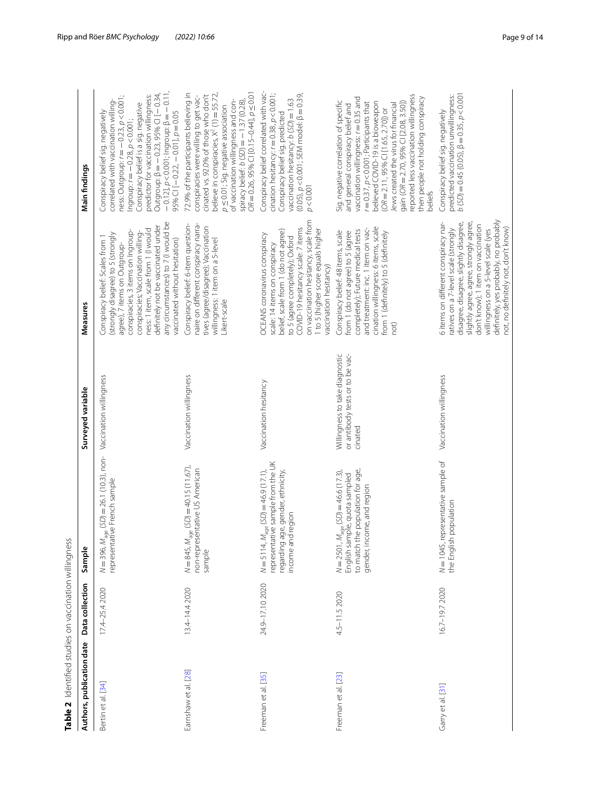<span id="page-8-0"></span>

| Table 2 Identified studies on vaccination willingness |                 |                                                                                                                                                      |                                                                              |                                                                                                                                                                                                                                                                                                                                         |                                                                                                                                                                                                                                                                                                                                                                                                                                      |
|-------------------------------------------------------|-----------------|------------------------------------------------------------------------------------------------------------------------------------------------------|------------------------------------------------------------------------------|-----------------------------------------------------------------------------------------------------------------------------------------------------------------------------------------------------------------------------------------------------------------------------------------------------------------------------------------|--------------------------------------------------------------------------------------------------------------------------------------------------------------------------------------------------------------------------------------------------------------------------------------------------------------------------------------------------------------------------------------------------------------------------------------|
| Authors, publication date                             | Data collection | Sample                                                                                                                                               | Surveyed variable                                                            | Measures                                                                                                                                                                                                                                                                                                                                | Main findings                                                                                                                                                                                                                                                                                                                                                                                                                        |
| Bertin et al. [34]                                    | 17.4-25.4 2020  | $N = 396$ , $M_{\text{age}}$ (SD) = 26.1 (10.3), non- Vaccination willingness<br>representative French sample                                        |                                                                              | any circumstances) to 7 (I would be<br>definitely not be vaccinated under<br>ness: 1 item, scale from 1 (I would<br>conspiracies, 3 items on Ingroup-<br>conspiracies; Vaccination willing-<br>(strongly disagree) to 5 (strongly<br>Conspiracy belief: Scales from 1<br>vaccinated without hesitation)<br>agree), 7 items on Outgroup- | $-0.12$ ], $p < 0.001$ ; Ingroup: $\beta = -0.11$ ,<br>Outgroup: $\beta = -0.23$ , 95% CI [-0.34<br>predictor for vaccination willingness:<br>$ness: Outgroup: r = -0.23, p < 0.001;$<br>correlated with vaccination willing-<br>Conspiracy belief is a sig. negative<br>95% CI $[-0.22, -0.01]$ , $p = 0.05$<br>Conspiracy belief sig. negatively<br>Ingroup: $r = -0.28$ , $p < 0.001$ ;                                           |
| Earnshaw et al. [28]                                  | 13.4-14.4 2020  | $N = 845$ , $M_{\text{age}}$ (SD) = 40.15 (11.67),<br>non-representative US American<br>sample                                                       | Vaccination willingness                                                      | Conspiracy belief: 6-item question-<br>naire on different conspiracy narra-<br>tives (agree/disagree); Vaccination<br>willingness: 1 item on a 5-level<br>Likert-scale                                                                                                                                                                  | $OR = 0.26, 95\% \text{ CI}$ [0.15-0.44], $p \le 0.01$<br>believe in conspiracies, X <sup>2</sup> (1) = 55.72,<br>72.9% of the participants believing in<br>cinated vs. 92.0% of those who don't<br>conspiracies were willing to get vac-<br>spiracy belief: $b(SD) = -1.37(0.28)$ ,<br>of vaccination willingness and con-<br>$p \le 0.01$ ; Sig. negative association                                                              |
| Freeman et al. [35]                                   | 24.9-17.10 2020 | representative sample from the UK<br>$N = 5114$ , $M_{\text{age}}$ (SD) = 46.9 (17.1),<br>regarding age, gender, ethnicity,<br>income and region     | Vaccination hesitancy                                                        | on vaccination hesitancy, scale from<br>COVID-19 hesitancy scale: 7 items<br>1 to 5 (higher score equals higher<br>belief, scale from 1 (do not agree)<br>OCEANS coronavirus conspiracy<br>to 5 (agree completely); Oxford<br>scale: 14 items on conspiracy<br>vaccination hesitancy)                                                   | Conspiracy belief correlated with vac-<br>cination hesitancy: $r = 0.38$ , $p < 0.001$ ;<br>$(0.05)$ , $p < 0.001$ ; SEM model: $\beta = 0.39$ ,<br>vaccination hesitancy: b (SD) = 1.63<br>Conspiracy belief sig. predicted<br>p < 0.001                                                                                                                                                                                            |
| Freeman et al. [23]                                   | 4.5-11.5 2020   | to match the population for age,<br>$N = 2501$ , $M_{\text{aqe}}$ (SD) = 46.6 (17.3),<br>English sample, quota sampled<br>gender, income, and region | Willingness to take diagnostic<br>or antibody tests or to be vac-<br>cinated | cination willingness: 6 items, scale<br>and treatment: inc. 1 item on vac-<br>completely); Future medical tests<br>Conspiracy belief: 48 items, scale<br>from 1 (do not agree) to 5 (agree<br>from 1 (definitely) to 5 (definitely<br>not)                                                                                              | reported less vaccination willingness<br>vaccination willingness: r = 0.35 and<br>then people not holding conspiracy<br>Sig. negative correlation of specific<br>gain (OR = 2.70, 95% CI [2.08, 3.50])<br>believed COVID-19 is a bioweapon<br>$r = 0.37$ , $p < 0.001$ ; Participants that<br>Jews created the virus for financial<br>and general conspiracy belief and<br>$(OR = 2.11, 95\% \text{ CI} [1.65, 2.70])$ or<br>beliefs |
| Garry et al. [31]                                     | 16.7-19.7 2020  | N=1045, representative sample of<br>the English population                                                                                           | Vaccination willingness                                                      | definitely, yes probably, no probably<br>6 items on different conspiracy nar-<br>slightly agree, agree, strongly agree,<br>disagree, disagree, slightly disagree,<br>don't know); 1 item on vaccination<br>not, no definitely not, don't know)<br>ratives on a 7-level scale (strongly<br>willingness on a 5-level scale (yes           | $b(5D) = 0.45(0.05), \beta = 0.35, p < 0.001$<br>predicted vaccination unwillingness:<br>Conspiracy belief sig. negatively                                                                                                                                                                                                                                                                                                           |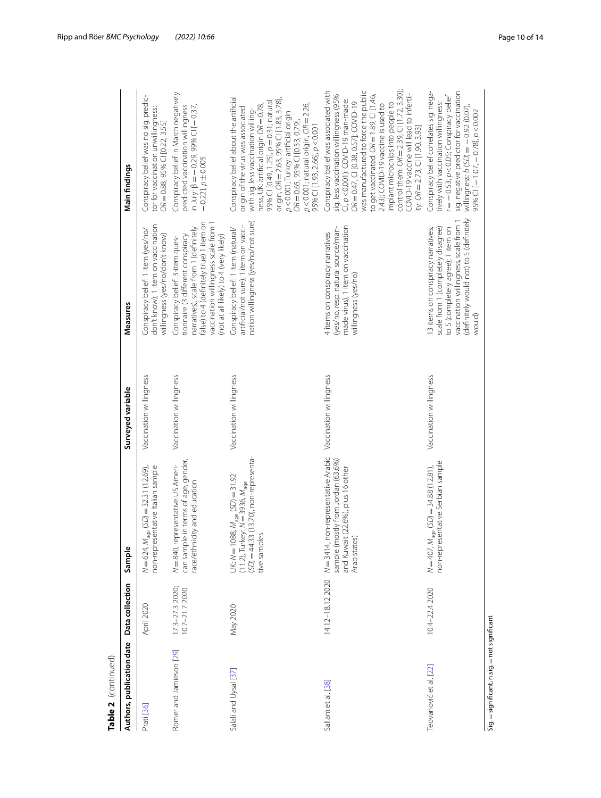| Authors, publication date                    | Data collection                 | Sample                                                                                                                                                        | Surveyed variable       | Measures                                                                                                                                                                                                                                 | Main findings                                                                                                                                                                                                                                                                                                                                                                                                                                                 |
|----------------------------------------------|---------------------------------|---------------------------------------------------------------------------------------------------------------------------------------------------------------|-------------------------|------------------------------------------------------------------------------------------------------------------------------------------------------------------------------------------------------------------------------------------|---------------------------------------------------------------------------------------------------------------------------------------------------------------------------------------------------------------------------------------------------------------------------------------------------------------------------------------------------------------------------------------------------------------------------------------------------------------|
| Prati [36]                                   | April 2020                      | $N = 624$ , $M_{\text{age}}$ (SD) = 32.31 (12.69),<br>non-representative Italian sample                                                                       | Vaccination willingness | don't know); 1 item on vaccination<br>Conspiracy belief: 1 item (yes/no/<br>willingness (yes/no/don't know)                                                                                                                              | Conspiracy belief was no sig. predic-<br>tor for vaccination unwillingness:<br>$OR = 0.88, 95\% \text{ CI}$ [0.22, 3.55]                                                                                                                                                                                                                                                                                                                                      |
| Romer and Jamieson [29]                      | 173-273 2020;<br>10.7-21.7 2020 | can sample in terms of age, gender,<br>N = 840, representative US Ameri-<br>race/ethnicity and education                                                      | Vaccination willingness | false) to 4 (definitely true) 1 item on<br>vaccination willingness scale from<br>narratives), scale from 1 (definitely<br>tionnaire (3 different conspiracy<br>(not at all likely) to 4 (very likely)<br>Conspiracy belief: 3-item ques- | Conspiracy belief in March negatively<br>in July: $\beta = -0.29$ , 99% CI [-0.37,<br>predicted vaccination willingness<br>$-0.22$ ], $p \pm 0.005$                                                                                                                                                                                                                                                                                                           |
| Salali and Uysal [37]                        | May 2020                        | $(SD) = 44.33$ (13.70), non-representa-<br>UK: $N = 1088$ , $M_{\text{age}}$ (SD) = 31.92<br>$(11.2)$ , Turkey: $N = 3936$ , $M_{\text{age}}$<br>tive samples | Vaccination willingness | nation willingness (yes/no/not sure)<br>artificial/not sure); 1 item on vacci-<br>Conspiracy belief: 1 item (natural/                                                                                                                    | Conspiracy belief about the artificial<br>origin, OR = 2.63, 95% CI [1.83, 3.78]<br>95% CI [0.49, 1.25], p = 0.31; natural<br>$p$ <0.001; natural origin, $OR = 2.26$ ,<br>ness, UK: artificial origin OR = 0.78,<br>origin of the virus was associated<br>with sig. less vaccination willing-<br>p<0.001; Turkey: artificial origin<br>OR = 0.65, 95% CI [0.53, 0.79]<br>95% CI [1.93, 2.66], p < 0.001                                                      |
| Sallam et al. [38]                           | 14.12-18.12 2020                | N=3414, non-representative Arabic<br>sample (mostly from Jordan (63.6%)<br>and Kuwait (22.6%), plus 16 other<br>Arab states)                                  | Vaccination willingness | made virus), 1 item on vaccination<br>(yes/no, resp. natural source/man-<br>4 items on conspiracy narratives<br>willingness (yes/no)                                                                                                     | was manufactured to force the public<br>control them: $OR = 2.39$ , CI [1.72, 3.30];<br>Conspiracy belief was associated with<br>COVID-19 vaccine will lead to infertil-<br>to get vaccinated: OR = 1.89, CI [1.46,<br>sig. less vaccination willingness (95%<br>CI, p<0.001); COVID-19 man-made:<br>$OR = 0.47$ , CI [0.38, 0.57]; COVID-19<br>implant microchips into people to<br>2.43]; COVID-19 vaccine is used to<br>ity: $OR = 2.73$ , CI [1.90, 3.93] |
| Teovanović et al. [22]                       | 10.4-22.4 2020                  | non-representative Serbian sample<br>$N = 407$ , $M_{\text{age}}$ (SD) = 34.88 (12.81),                                                                       | Vaccination willingness | (definitely would not) to 5 (definitely<br>vaccination willingness, scale from 1<br>scale from 1 (completely disagree)<br>to 5 (completely agree); 1 item on<br>13 items on conspiracy narratives,<br>(plnow                             | Conspiracy belief correlates sig. nega-<br>sig. negative predictor for vaccination<br>$r = -0.53$ , $p < 0.05$ ; Conspiracy belief<br>tively with vaccination willingness:<br>willingness: $b(5D) = -0.92(0.07)$ ,<br>95% $\bar{C}$ [-1.07, -0.78], $p < 0.002$                                                                                                                                                                                               |
| Sig. = significant, n.sig. = not significant |                                 |                                                                                                                                                               |                         |                                                                                                                                                                                                                                          |                                                                                                                                                                                                                                                                                                                                                                                                                                                               |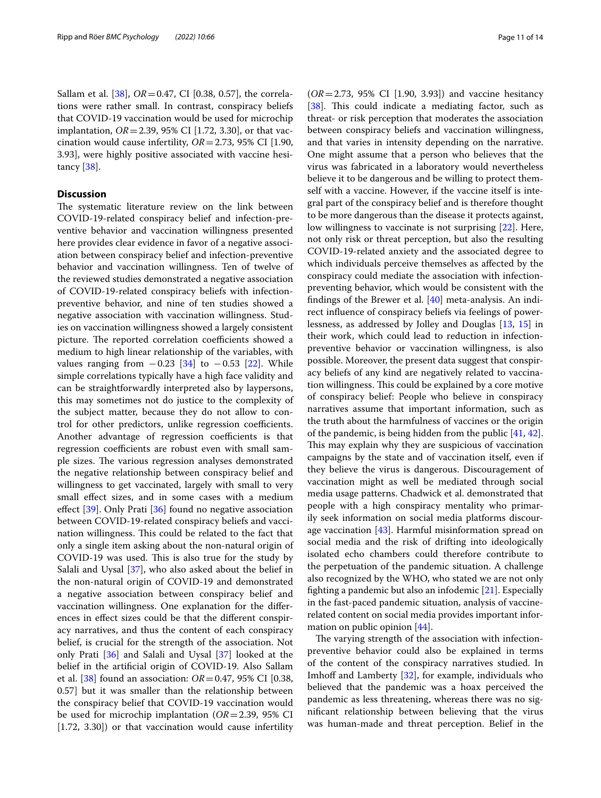Sallam et al. [[38\]](#page-13-27), *OR*=0.47, CI [0.38, 0.57], the correlations were rather small. In contrast, conspiracy beliefs that COVID-19 vaccination would be used for microchip implantation, *OR*=2.39, 95% CI [1.72, 3.30], or that vaccination would cause infertility, *OR*=2.73, 95% CI [1.90, 3.93], were highly positive associated with vaccine hesitancy [[38](#page-13-27)].

# **Discussion**

The systematic literature review on the link between COVID-19-related conspiracy belief and infection-preventive behavior and vaccination willingness presented here provides clear evidence in favor of a negative association between conspiracy belief and infection-preventive behavior and vaccination willingness. Ten of twelve of the reviewed studies demonstrated a negative association of COVID-19-related conspiracy beliefs with infectionpreventive behavior, and nine of ten studies showed a negative association with vaccination willingness. Studies on vaccination willingness showed a largely consistent picture. The reported correlation coefficients showed a medium to high linear relationship of the variables, with values ranging from  $-0.23$  [\[34\]](#page-13-24) to  $-0.53$  [[22](#page-13-12)]. While simple correlations typically have a high face validity and can be straightforwardly interpreted also by laypersons, this may sometimes not do justice to the complexity of the subject matter, because they do not allow to control for other predictors, unlike regression coefficients. Another advantage of regression coefficients is that regression coefficients are robust even with small sample sizes. The various regression analyses demonstrated the negative relationship between conspiracy belief and willingness to get vaccinated, largely with small to very small efect sizes, and in some cases with a medium effect [\[39](#page-13-29)]. Only Prati [[36\]](#page-13-26) found no negative association between COVID-19-related conspiracy beliefs and vaccination willingness. This could be related to the fact that only a single item asking about the non-natural origin of COVID-19 was used. This is also true for the study by Salali and Uysal [\[37](#page-13-28)], who also asked about the belief in the non-natural origin of COVID-19 and demonstrated a negative association between conspiracy belief and vaccination willingness. One explanation for the diferences in efect sizes could be that the diferent conspiracy narratives, and thus the content of each conspiracy belief, is crucial for the strength of the association. Not only Prati [\[36](#page-13-26)] and Salali and Uysal [[37\]](#page-13-28) looked at the belief in the artifcial origin of COVID-19. Also Sallam et al. [[38\]](#page-13-27) found an association: *OR*=0.47, 95% CI [0.38, 0.57] but it was smaller than the relationship between the conspiracy belief that COVID-19 vaccination would be used for microchip implantation (*OR*=2.39, 95% CI [1.72, 3.30]) or that vaccination would cause infertility

(*OR*=2.73, 95% CI [1.90, 3.93]) and vaccine hesitancy [[38\]](#page-13-27). This could indicate a mediating factor, such as threat- or risk perception that moderates the association between conspiracy beliefs and vaccination willingness, and that varies in intensity depending on the narrative. One might assume that a person who believes that the virus was fabricated in a laboratory would nevertheless believe it to be dangerous and be willing to protect themself with a vaccine. However, if the vaccine itself is integral part of the conspiracy belief and is therefore thought to be more dangerous than the disease it protects against, low willingness to vaccinate is not surprising [[22\]](#page-13-12). Here, not only risk or threat perception, but also the resulting COVID-19-related anxiety and the associated degree to which individuals perceive themselves as afected by the conspiracy could mediate the association with infectionpreventing behavior, which would be consistent with the fndings of the Brewer et al. [\[40](#page-13-30)] meta-analysis. An indirect infuence of conspiracy beliefs via feelings of powerlessness, as addressed by Jolley and Douglas [\[13,](#page-13-3) [15\]](#page-13-5) in their work, which could lead to reduction in infectionpreventive behavior or vaccination willingness, is also possible. Moreover, the present data suggest that conspiracy beliefs of any kind are negatively related to vaccination willingness. This could be explained by a core motive of conspiracy belief: People who believe in conspiracy narratives assume that important information, such as the truth about the harmfulness of vaccines or the origin of the pandemic, is being hidden from the public [[41,](#page-13-31) [42](#page-13-32)]. This may explain why they are suspicious of vaccination campaigns by the state and of vaccination itself, even if they believe the virus is dangerous. Discouragement of vaccination might as well be mediated through social media usage patterns. Chadwick et al. demonstrated that people with a high conspiracy mentality who primarily seek information on social media platforms discourage vaccination [[43](#page-13-33)]. Harmful misinformation spread on social media and the risk of drifting into ideologically isolated echo chambers could therefore contribute to the perpetuation of the pandemic situation. A challenge also recognized by the WHO, who stated we are not only fghting a pandemic but also an infodemic [\[21](#page-13-11)]. Especially in the fast-paced pandemic situation, analysis of vaccinerelated content on social media provides important information on public opinion [[44\]](#page-13-34).

The varying strength of the association with infectionpreventive behavior could also be explained in terms of the content of the conspiracy narratives studied. In Imhoff and Lamberty  $[32]$  $[32]$ , for example, individuals who believed that the pandemic was a hoax perceived the pandemic as less threatening, whereas there was no signifcant relationship between believing that the virus was human-made and threat perception. Belief in the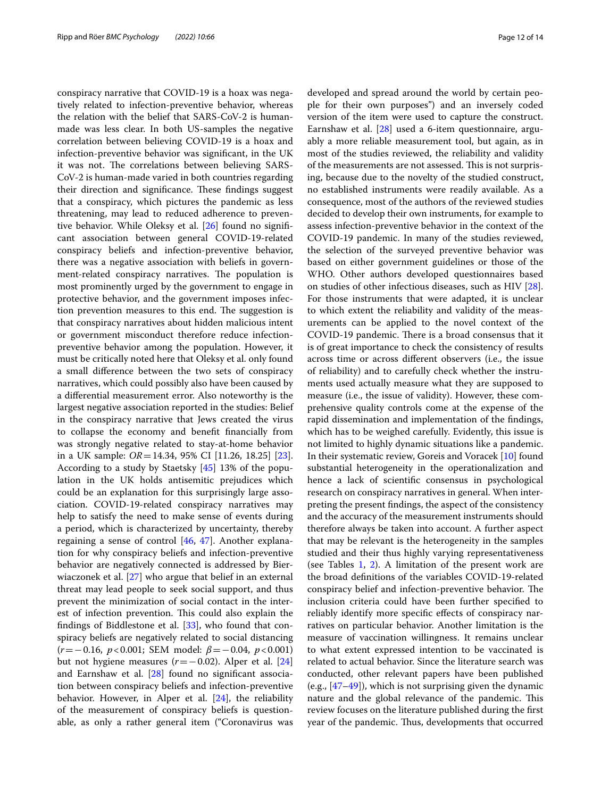conspiracy narrative that COVID-19 is a hoax was negatively related to infection-preventive behavior, whereas the relation with the belief that SARS-CoV-2 is humanmade was less clear. In both US-samples the negative correlation between believing COVID-19 is a hoax and infection-preventive behavior was signifcant, in the UK it was not. The correlations between believing SARS-CoV-2 is human-made varied in both countries regarding their direction and significance. These findings suggest that a conspiracy, which pictures the pandemic as less threatening, may lead to reduced adherence to preventive behavior. While Oleksy et al. [[26\]](#page-13-16) found no signifcant association between general COVID-19-related conspiracy beliefs and infection-preventive behavior, there was a negative association with beliefs in government-related conspiracy narratives. The population is most prominently urged by the government to engage in protective behavior, and the government imposes infection prevention measures to this end. The suggestion is that conspiracy narratives about hidden malicious intent or government misconduct therefore reduce infectionpreventive behavior among the population. However, it must be critically noted here that Oleksy et al. only found a small diference between the two sets of conspiracy narratives, which could possibly also have been caused by a diferential measurement error. Also noteworthy is the largest negative association reported in the studies: Belief in the conspiracy narrative that Jews created the virus to collapse the economy and beneft fnancially from was strongly negative related to stay-at-home behavior in a UK sample: *OR*=14.34, 95% CI [11.26, 18.25] [\[23](#page-13-13)]. According to a study by Staetsky [\[45](#page-13-35)] 13% of the population in the UK holds antisemitic prejudices which could be an explanation for this surprisingly large association. COVID-19-related conspiracy narratives may help to satisfy the need to make sense of events during a period, which is characterized by uncertainty, thereby regaining a sense of control [\[46,](#page-13-36) [47\]](#page-13-37). Another explanation for why conspiracy beliefs and infection-preventive behavior are negatively connected is addressed by Bierwiaczonek et al. [\[27](#page-13-17)] who argue that belief in an external threat may lead people to seek social support, and thus prevent the minimization of social contact in the interest of infection prevention. This could also explain the fndings of Biddlestone et al. [\[33](#page-13-22)], who found that conspiracy beliefs are negatively related to social distancing (*r*=−0.16, *p*<0.001; SEM model: *β*=−0.04, *p*<0.001) but not hygiene measures (*r*=−0.02). Alper et al. [[24](#page-13-14)] and Earnshaw et al. [[28\]](#page-13-23) found no signifcant association between conspiracy beliefs and infection-preventive behavior. However, in Alper et al.  $[24]$  $[24]$ , the reliability of the measurement of conspiracy beliefs is questionable, as only a rather general item ("Coronavirus was developed and spread around the world by certain people for their own purposes") and an inversely coded version of the item were used to capture the construct. Earnshaw et al.  $[28]$  used a 6-item questionnaire, arguably a more reliable measurement tool, but again, as in most of the studies reviewed, the reliability and validity of the measurements are not assessed. This is not surprising, because due to the novelty of the studied construct, no established instruments were readily available. As a consequence, most of the authors of the reviewed studies decided to develop their own instruments, for example to assess infection-preventive behavior in the context of the COVID-19 pandemic. In many of the studies reviewed, the selection of the surveyed preventive behavior was based on either government guidelines or those of the WHO. Other authors developed questionnaires based on studies of other infectious diseases, such as HIV [\[28](#page-13-23)]. For those instruments that were adapted, it is unclear to which extent the reliability and validity of the measurements can be applied to the novel context of the COVID-19 pandemic. There is a broad consensus that it is of great importance to check the consistency of results across time or across diferent observers (i.e., the issue of reliability) and to carefully check whether the instruments used actually measure what they are supposed to measure (i.e., the issue of validity). However, these comprehensive quality controls come at the expense of the rapid dissemination and implementation of the fndings, which has to be weighed carefully. Evidently, this issue is not limited to highly dynamic situations like a pandemic. In their systematic review, Goreis and Voracek [\[10](#page-13-38)] found substantial heterogeneity in the operationalization and hence a lack of scientifc consensus in psychological research on conspiracy narratives in general. When interpreting the present fndings, the aspect of the consistency and the accuracy of the measurement instruments should therefore always be taken into account. A further aspect that may be relevant is the heterogeneity in the samples studied and their thus highly varying representativeness (see Tables  $1, 2$  $1, 2$ ). A limitation of the present work are the broad defnitions of the variables COVID-19-related conspiracy belief and infection-preventive behavior. The inclusion criteria could have been further specifed to reliably identify more specifc efects of conspiracy narratives on particular behavior. Another limitation is the measure of vaccination willingness. It remains unclear to what extent expressed intention to be vaccinated is related to actual behavior. Since the literature search was conducted, other relevant papers have been published (e.g., [[47](#page-13-37)[–49](#page-13-39)]), which is not surprising given the dynamic nature and the global relevance of the pandemic. This review focuses on the literature published during the frst year of the pandemic. Thus, developments that occurred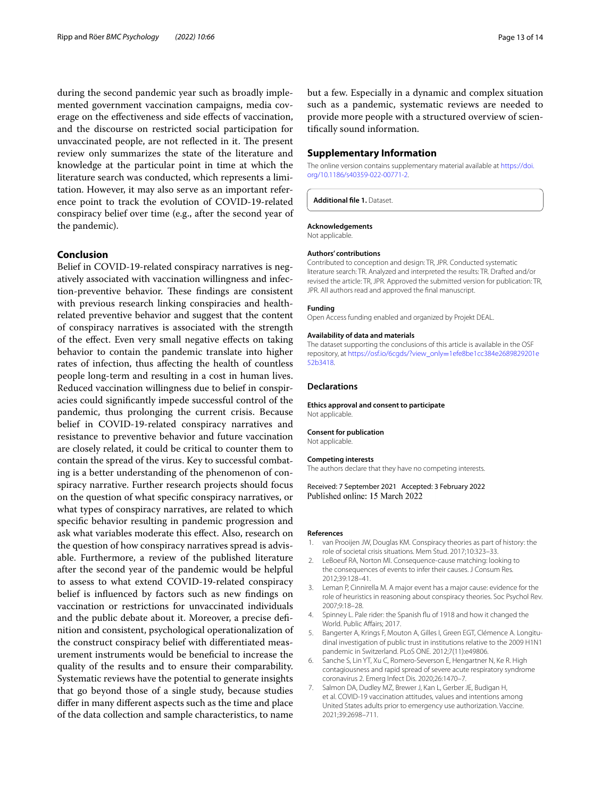during the second pandemic year such as broadly implemented government vaccination campaigns, media coverage on the efectiveness and side efects of vaccination, and the discourse on restricted social participation for unvaccinated people, are not reflected in it. The present review only summarizes the state of the literature and knowledge at the particular point in time at which the literature search was conducted, which represents a limitation. However, it may also serve as an important reference point to track the evolution of COVID-19-related conspiracy belief over time (e.g., after the second year of the pandemic).

#### **Conclusion**

Belief in COVID-19-related conspiracy narratives is negatively associated with vaccination willingness and infection-preventive behavior. These findings are consistent with previous research linking conspiracies and healthrelated preventive behavior and suggest that the content of conspiracy narratives is associated with the strength of the efect. Even very small negative efects on taking behavior to contain the pandemic translate into higher rates of infection, thus afecting the health of countless people long-term and resulting in a cost in human lives. Reduced vaccination willingness due to belief in conspiracies could signifcantly impede successful control of the pandemic, thus prolonging the current crisis. Because belief in COVID-19-related conspiracy narratives and resistance to preventive behavior and future vaccination are closely related, it could be critical to counter them to contain the spread of the virus. Key to successful combating is a better understanding of the phenomenon of conspiracy narrative. Further research projects should focus on the question of what specifc conspiracy narratives, or what types of conspiracy narratives, are related to which specifc behavior resulting in pandemic progression and ask what variables moderate this efect. Also, research on the question of how conspiracy narratives spread is advisable. Furthermore, a review of the published literature after the second year of the pandemic would be helpful to assess to what extend COVID-19-related conspiracy belief is infuenced by factors such as new fndings on vaccination or restrictions for unvaccinated individuals and the public debate about it. Moreover, a precise defnition and consistent, psychological operationalization of the construct conspiracy belief with diferentiated measurement instruments would be benefcial to increase the quality of the results and to ensure their comparability. Systematic reviews have the potential to generate insights that go beyond those of a single study, because studies difer in many diferent aspects such as the time and place of the data collection and sample characteristics, to name but a few. Especially in a dynamic and complex situation such as a pandemic, systematic reviews are needed to provide more people with a structured overview of scientifcally sound information.

### **Supplementary Information**

The online version contains supplementary material available at [https://doi.](https://doi.org/10.1186/s40359-022-00771-2) [org/10.1186/s40359-022-00771-2](https://doi.org/10.1186/s40359-022-00771-2).

<span id="page-12-7"></span>**Additional fle 1.** Dataset.

#### **Acknowledgements**

Not applicable.

#### **Authors' contributions**

Contributed to conception and design: TR, JPR. Conducted systematic literature search: TR. Analyzed and interpreted the results: TR. Drafted and/or revised the article: TR, JPR. Approved the submitted version for publication: TR, JPR. All authors read and approved the fnal manuscript.

### **Funding**

Open Access funding enabled and organized by Projekt DEAL.

#### **Availability of data and materials**

The dataset supporting the conclusions of this article is available in the OSF repository, at [https://osf.io/6cgds/?view\\_only](https://osf.io/6cgds/?view_only=1efe8be1cc384e2689829201e52b3418)=1efe8be1cc384e2689829201e [52b3418.](https://osf.io/6cgds/?view_only=1efe8be1cc384e2689829201e52b3418)

#### **Declarations**

**Ethics approval and consent to participate** Not applicable.

#### **Consent for publication** Not applicable.

#### **Competing interests**

The authors declare that they have no competing interests.

Received: 7 September 2021 Accepted: 3 February 2022 Published online: 15 March 2022

#### **References**

- <span id="page-12-0"></span>1. van Prooijen JW, Douglas KM. Conspiracy theories as part of history: the role of societal crisis situations. Mem Stud. 2017;10:323–33.
- <span id="page-12-1"></span>2. LeBoeuf RA, Norton MI. Consequence-cause matching: looking to the consequences of events to infer their causes. J Consum Res. 2012;39:128–41.
- <span id="page-12-2"></span>3. Leman P, Cinnirella M. A major event has a major cause: evidence for the role of heuristics in reasoning about conspiracy theories. Soc Psychol Rev. 2007;9:18–28.
- <span id="page-12-3"></span>4. Spinney L. Pale rider: the Spanish fu of 1918 and how it changed the World. Public Affairs; 2017
- <span id="page-12-4"></span>Bangerter A, Krings F, Mouton A, Gilles I, Green EGT, Clémence A. Longitudinal investigation of public trust in institutions relative to the 2009 H1N1 pandemic in Switzerland. PLoS ONE. 2012;7(11):e49806.
- <span id="page-12-5"></span>6. Sanche S, Lin YT, Xu C, Romero-Severson E, Hengartner N, Ke R. High contagiousness and rapid spread of severe acute respiratory syndrome coronavirus 2. Emerg Infect Dis. 2020;26:1470–7.
- <span id="page-12-6"></span>7. Salmon DA, Dudley MZ, Brewer J, Kan L, Gerber JE, Budigan H, et al. COVID-19 vaccination attitudes, values and intentions among United States adults prior to emergency use authorization. Vaccine. 2021;39:2698–711.